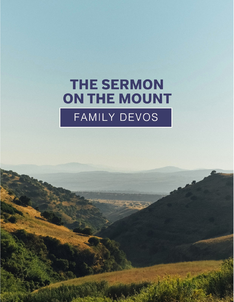# **THE SERMON** ON THE MOUNT FAMILY DEVOS

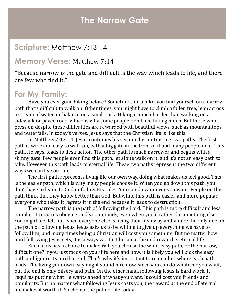### **The Narrow Gate**

#### **Scripture:** Matthew 7:13-14

#### **Memory Verse:** Matthew 7:14

"Because narrow is the gate and difficult is the way which leads to life, and there are few who find it."

#### **For My Family:**

Have you ever gone hiking before? Sometimes on a hike, you find yourself on a narrow path that's difficult to walk on. Other times, you might have to climb a fallen tree, leap across a stream of water, or balance on a small rock. Hiking is much harder than walking on a sidewalk or paved road, which is why some people don't like hiking much. But those who press on despite these difficulties are rewarded with beautiful views, such as mountaintops and waterfalls. In today's verses, Jesus says that the Christian life is like this.

In Matthew 7:13-14, Jesus continues his sermon by contrasting two paths. The first path is wide and easy to walk on, with a big gate in the front of it and many people on it. This path, He says, leads to destruction. The other path is much narrower and begins with a skinny gate. Few people even find this path, let alone walk on it, and it's not an easy path to take. However, this path leads to eternal life. These two paths represent the two different ways we can live our life.

The first path represents living life our own way, doing what makes us feel good. This is the easier path, which is why many people choose it. When you go down this path, you don't have to listen to God or follow His rules. You can do whatever you want. People on this path think that they know better than God. But while this path is easier and more popular, everyone who takes it regrets it in the end because it leads to destruction.

The narrow path is the path of following the Lord. This path is more difficult and less popular. It requires obeying God's commands, even when you'd rather do something else. You might feel left out when everyone else is living their own way and you're the only one on the path of following Jesus. Jesus asks us to be willing to give up everything we have to follow Him, and many times being a Christian will cost you something. But no matter how hard following Jesus gets, it is always worth it because the end reward is eternal life.

Each of us has a choice to make. Will you choose the wide, easy path, or the narrow, difficult one? If you just focus on your life here and now, it is likely you will pick the easy path and ignore its terrible end. That's why it's important to remember where each path leads. The living your own way might sound nice now, since you can do whatever you want, but the end is only misery and pain. On the other hand, following Jesus is hard work. It requires putting what He wants ahead of what you want. It could cost you friends and popularity. But no matter what following Jesus costs you, the reward at the end of eternal life makes it worth it. So choose the path of life today!